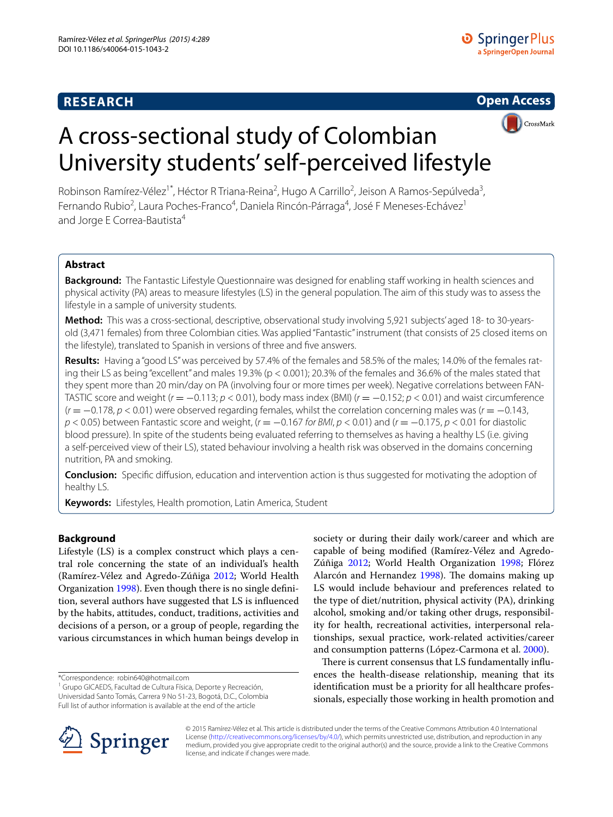# **RESEARCH**





# A cross‑sectional study of Colombian University students' self‑perceived lifestyle

Robinson Ramírez-Vélez<sup>1\*</sup>, Héctor R Triana-Reina<sup>2</sup>, Hugo A Carrillo<sup>2</sup>, Jeison A Ramos-Sepúlveda<sup>3</sup>, Fernando Rubio<sup>2</sup>, Laura Poches-Franco<sup>4</sup>, Daniela Rincón-Párraga<sup>4</sup>, José F Meneses-Echávez<sup>1</sup> and Jorge E Correa-Bautista<sup>4</sup>

# **Abstract**

**Background:** The Fantastic Lifestyle Questionnaire was designed for enabling staff working in health sciences and physical activity (PA) areas to measure lifestyles (LS) in the general population. The aim of this study was to assess the lifestyle in a sample of university students.

**Method:** This was a cross-sectional, descriptive, observational study involving 5,921 subjects' aged 18- to 30-yearsold (3,471 females) from three Colombian cities. Was applied "Fantastic" instrument (that consists of 25 closed items on the lifestyle), translated to Spanish in versions of three and five answers.

**Results:** Having a "good LS" was perceived by 57.4% of the females and 58.5% of the males; 14.0% of the females rat‑ ing their LS as being "excellent" and males 19.3% (p < 0.001); 20.3% of the females and 36.6% of the males stated that they spent more than 20 min/day on PA (involving four or more times per week). Negative correlations between FAN‑ TASTIC score and weight  $(r = -0.113; p < 0.01)$ , body mass index (BMI)  $(r = -0.152; p < 0.01)$  and waist circumference (*r* = −0.178, *p* < 0.01) were observed regarding females, whilst the correlation concerning males was (*r* = −0.143, *p* < 0.05) between Fantastic score and weight, ( $r = −0.167$  *for BMI*,  $p$  < 0.01) and ( $r = −0.175$ ,  $p$  < 0.01 for diastolic blood pressure). In spite of the students being evaluated referring to themselves as having a healthy LS (i.e. giving a self-perceived view of their LS), stated behaviour involving a health risk was observed in the domains concerning nutrition, PA and smoking.

**Conclusion:** Specific diffusion, education and intervention action is thus suggested for motivating the adoption of healthy LS.

**Keywords:** Lifestyles, Health promotion, Latin America, Student

# **Background**

Lifestyle (LS) is a complex construct which plays a central role concerning the state of an individual's health (Ramírez-Vélez and Agredo-Zúñiga [2012](#page-7-0); World Health Organization [1998\)](#page-7-1). Even though there is no single definition, several authors have suggested that LS is influenced by the habits, attitudes, conduct, traditions, activities and decisions of a person, or a group of people, regarding the various circumstances in which human beings develop in

\*Correspondence: robin640@hotmail.com

<sup>1</sup> Grupo GICAEDS, Facultad de Cultura Física, Deporte y Recreación, Universidad Santo Tomás, Carrera 9 No 51‑23, Bogotá, D.C., Colombia Full list of author information is available at the end of the article

society or during their daily work/career and which are capable of being modified (Ramírez-Vélez and Agredo-Zúñiga [2012;](#page-7-0) World Health Organization [1998](#page-7-1); Flórez Alarcón and Hernandez [1998\)](#page-6-0). The domains making up LS would include behaviour and preferences related to the type of diet/nutrition, physical activity (PA), drinking alcohol, smoking and/or taking other drugs, responsibility for health, recreational activities, interpersonal relationships, sexual practice, work-related activities/career and consumption patterns (López-Carmona et al. [2000](#page-7-2)).

There is current consensus that LS fundamentally influences the health-disease relationship, meaning that its identification must be a priority for all healthcare professionals, especially those working in health promotion and



© 2015 Ramírez-Vélez et al. This article is distributed under the terms of the Creative Commons Attribution 4.0 International License (<http://creativecommons.org/licenses/by/4.0/>), which permits unrestricted use, distribution, and reproduction in any medium, provided you give appropriate credit to the original author(s) and the source, provide a link to the Creative Commons license, and indicate if changes were made.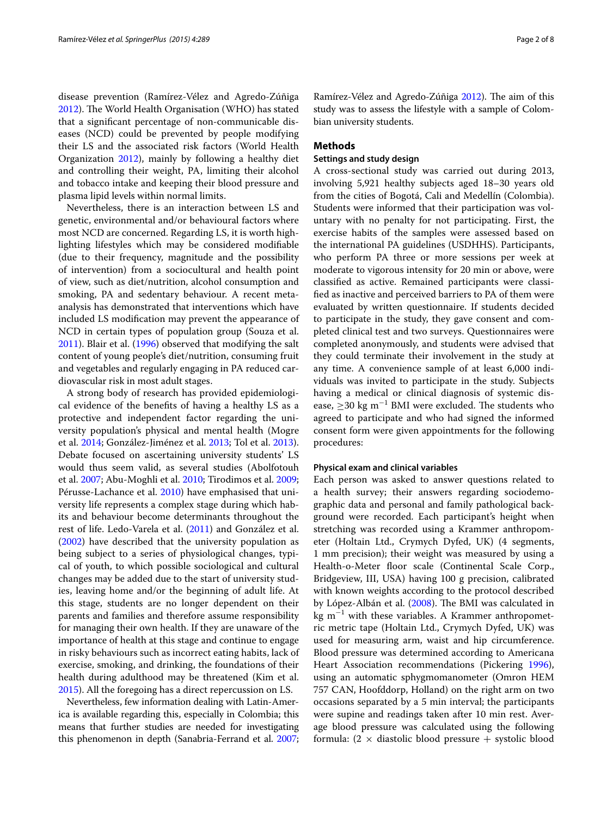disease prevention (Ramírez-Vélez and Agredo-Zúñiga [2012](#page-7-0)). The World Health Organisation (WHO) has stated that a significant percentage of non-communicable diseases (NCD) could be prevented by people modifying their LS and the associated risk factors (World Health Organization [2012\)](#page-7-3), mainly by following a healthy diet and controlling their weight, PA, limiting their alcohol and tobacco intake and keeping their blood pressure and plasma lipid levels within normal limits.

Nevertheless, there is an interaction between LS and genetic, environmental and/or behavioural factors where most NCD are concerned. Regarding LS, it is worth highlighting lifestyles which may be considered modifiable (due to their frequency, magnitude and the possibility of intervention) from a sociocultural and health point of view, such as diet/nutrition, alcohol consumption and smoking, PA and sedentary behaviour. A recent metaanalysis has demonstrated that interventions which have included LS modification may prevent the appearance of NCD in certain types of population group (Souza et al. [2011](#page-7-4)). Blair et al. ([1996\)](#page-6-1) observed that modifying the salt content of young people's diet/nutrition, consuming fruit and vegetables and regularly engaging in PA reduced cardiovascular risk in most adult stages.

A strong body of research has provided epidemiological evidence of the benefits of having a healthy LS as a protective and independent factor regarding the university population's physical and mental health (Mogre et al. [2014;](#page-7-5) González-Jiménez et al. [2013;](#page-6-2) Tol et al. [2013](#page-7-6)). Debate focused on ascertaining university students' LS would thus seem valid, as several studies (Abolfotouh et al. [2007](#page-6-3); Abu-Moghli et al. [2010](#page-6-4); Tirodimos et al. [2009](#page-7-7); Pérusse-Lachance et al. [2010\)](#page-7-8) have emphasised that university life represents a complex stage during which habits and behaviour become determinants throughout the rest of life. Ledo-Varela et al. [\(2011\)](#page-7-9) and González et al. ([2002\)](#page-6-5) have described that the university population as being subject to a series of physiological changes, typical of youth, to which possible sociological and cultural changes may be added due to the start of university studies, leaving home and/or the beginning of adult life. At this stage, students are no longer dependent on their parents and families and therefore assume responsibility for managing their own health. If they are unaware of the importance of health at this stage and continue to engage in risky behaviours such as incorrect eating habits, lack of exercise, smoking, and drinking, the foundations of their health during adulthood may be threatened (Kim et al. [2015](#page-7-10)). All the foregoing has a direct repercussion on LS.

Nevertheless, few information dealing with Latin-America is available regarding this, especially in Colombia; this means that further studies are needed for investigating this phenomenon in depth (Sanabria-Ferrand et al. [2007](#page-7-11);

Ramírez-Vélez and Agredo-Zúñiga [2012\)](#page-7-0). The aim of this study was to assess the lifestyle with a sample of Colombian university students.

#### **Methods**

## **Settings and study design**

A cross-sectional study was carried out during 2013, involving 5,921 healthy subjects aged 18–30 years old from the cities of Bogotá, Cali and Medellín (Colombia). Students were informed that their participation was voluntary with no penalty for not participating. First, the exercise habits of the samples were assessed based on the international PA guidelines (USDHHS). Participants, who perform PA three or more sessions per week at moderate to vigorous intensity for 20 min or above, were classified as active. Remained participants were classified as inactive and perceived barriers to PA of them were evaluated by written questionnaire. If students decided to participate in the study, they gave consent and completed clinical test and two surveys. Questionnaires were completed anonymously, and students were advised that they could terminate their involvement in the study at any time. A convenience sample of at least 6,000 individuals was invited to participate in the study. Subjects having a medical or clinical diagnosis of systemic disease, ≥30 kg m−<sup>1</sup> BMI were excluded. The students who agreed to participate and who had signed the informed consent form were given appointments for the following procedures:

#### **Physical exam and clinical variables**

Each person was asked to answer questions related to a health survey; their answers regarding sociodemographic data and personal and family pathological background were recorded. Each participant's height when stretching was recorded using a Krammer anthropometer (Holtain Ltd., Crymych Dyfed, UK) (4 segments, 1 mm precision); their weight was measured by using a Health-o-Meter floor scale (Continental Scale Corp., Bridgeview, III, USA) having 100 g precision, calibrated with known weights according to the protocol described by López-Albán et al. ([2008](#page-7-12)). The BMI was calculated in  $kg \, \text{m}^{-1}$  with these variables. A Krammer anthropometric metric tape (Holtain Ltd., Crymych Dyfed, UK) was used for measuring arm, waist and hip circumference. Blood pressure was determined according to Americana Heart Association recommendations (Pickering [1996](#page-7-13)), using an automatic sphygmomanometer (Omron HEM 757 CAN, Hoofddorp, Holland) on the right arm on two occasions separated by a 5 min interval; the participants were supine and readings taken after 10 min rest. Average blood pressure was calculated using the following formula:  $(2 \times$  diastolic blood pressure + systolic blood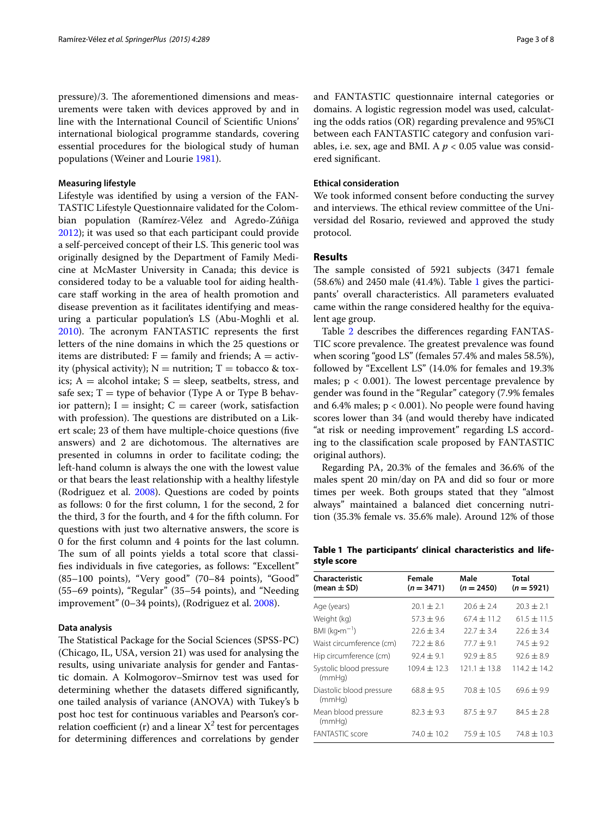pressure)/3. The aforementioned dimensions and measurements were taken with devices approved by and in line with the International Council of Scientific Unions' international biological programme standards, covering essential procedures for the biological study of human populations (Weiner and Lourie [1981\)](#page-7-14).

## **Measuring lifestyle**

Lifestyle was identified by using a version of the FAN-TASTIC Lifestyle Questionnaire validated for the Colombian population (Ramírez-Vélez and Agredo-Zúñiga [2012](#page-7-0)); it was used so that each participant could provide a self-perceived concept of their LS. This generic tool was originally designed by the Department of Family Medicine at McMaster University in Canada; this device is considered today to be a valuable tool for aiding healthcare staff working in the area of health promotion and disease prevention as it facilitates identifying and measuring a particular population's LS (Abu-Moghli et al. [2010](#page-6-4)). The acronym FANTASTIC represents the first letters of the nine domains in which the 25 questions or items are distributed:  $F =$  family and friends;  $A =$  activity (physical activity);  $N =$  nutrition;  $T =$  tobacco & toxics;  $A =$  alcohol intake;  $S =$  sleep, seatbelts, stress, and safe sex;  $T =$  type of behavior (Type A or Type B behavior pattern);  $I =$  insight;  $C =$  career (work, satisfaction with profession). The questions are distributed on a Likert scale; 23 of them have multiple-choice questions (five answers) and 2 are dichotomous. The alternatives are presented in columns in order to facilitate coding; the left-hand column is always the one with the lowest value or that bears the least relationship with a healthy lifestyle (Rodriguez et al. [2008\)](#page-7-15). Questions are coded by points as follows: 0 for the first column, 1 for the second, 2 for the third, 3 for the fourth, and 4 for the fifth column. For questions with just two alternative answers, the score is 0 for the first column and 4 points for the last column. The sum of all points yields a total score that classifies individuals in five categories, as follows: "Excellent" (85–100 points), "Very good" (70–84 points), "Good" (55–69 points), "Regular" (35–54 points), and "Needing improvement" (0–34 points), (Rodriguez et al. [2008](#page-7-15)).

#### **Data analysis**

The Statistical Package for the Social Sciences (SPSS-PC) (Chicago, IL, USA, version 21) was used for analysing the results, using univariate analysis for gender and Fantastic domain. A Kolmogorov–Smirnov test was used for determining whether the datasets differed significantly, one tailed analysis of variance (ANOVA) with Tukey's b post hoc test for continuous variables and Pearson's correlation coefficient (r) and a linear  $X^2$  test for percentages for determining differences and correlations by gender

and FANTASTIC questionnaire internal categories or domains. A logistic regression model was used, calculating the odds ratios (OR) regarding prevalence and 95%CI between each FANTASTIC category and confusion variables, i.e. sex, age and BMI. A *p* < 0.05 value was considered significant.

# **Ethical consideration**

We took informed consent before conducting the survey and interviews. The ethical review committee of the Universidad del Rosario, reviewed and approved the study protocol.

#### **Results**

The sample consisted of 5921 subjects (3471 female (58.6%) and 2450 male (41.4%). Table [1](#page-2-0) gives the participants' overall characteristics. All parameters evaluated came within the range considered healthy for the equivalent age group.

Table [2](#page-3-0) describes the differences regarding FANTAS-TIC score prevalence. The greatest prevalence was found when scoring "good LS" (females 57.4% and males 58.5%), followed by "Excellent LS" (14.0% for females and 19.3% males;  $p < 0.001$ ). The lowest percentage prevalence by gender was found in the "Regular" category (7.9% females and 6.4% males;  $p < 0.001$ ). No people were found having scores lower than 34 (and would thereby have indicated "at risk or needing improvement" regarding LS according to the classification scale proposed by FANTASTIC original authors).

Regarding PA, 20.3% of the females and 36.6% of the males spent 20 min/day on PA and did so four or more times per week. Both groups stated that they "almost always" maintained a balanced diet concerning nutrition (35.3% female vs. 35.6% male). Around 12% of those

<span id="page-2-0"></span>**Table 1 The participants' clinical characteristics and lifestyle score**

| Characteristic<br>(mean $\pm$ SD)  | Female<br>$(n = 3471)$ | Male<br>$(n = 2450)$ | Total<br>$(n = 5921)$ |
|------------------------------------|------------------------|----------------------|-----------------------|
| Age (years)                        | $20.1 \pm 2.1$         | $20.6 + 2.4$         | $20.3 + 2.1$          |
| Weight (kg)                        | $57.3 + 9.6$           | $67.4 \pm 11.2$      | $61.5 \pm 11.5$       |
| BMI ( $kg·m^{-1}$ )                | $22.6 + 3.4$           | $22.7 + 3.4$         | $22.6 + 3.4$          |
| Waist circumference (cm)           | $72.2 + 8.6$           | $77.7 + 9.1$         | $74.5 + 9.2$          |
| Hip circumference (cm)             | $92.4 + 9.1$           | $92.9 + 8.5$         | $92.6 + 8.9$          |
| Systolic blood pressure<br>(mmHq)  | $109.4 \pm 12.3$       | $121.1 \pm 13.8$     | $114.2 \pm 14.2$      |
| Diastolic blood pressure<br>(mmHq) | $68.8 + 9.5$           | $70.8 + 10.5$        | $69.6 + 9.9$          |
| Mean blood pressure<br>(mmHq)      | $82.3 + 9.3$           | $87.5 + 9.7$         | $84.5 + 2.8$          |
| <b>FANTASTIC</b> score             | $74.0 \pm 10.2$        | $75.9 + 10.5$        | $74.8 + 10.3$         |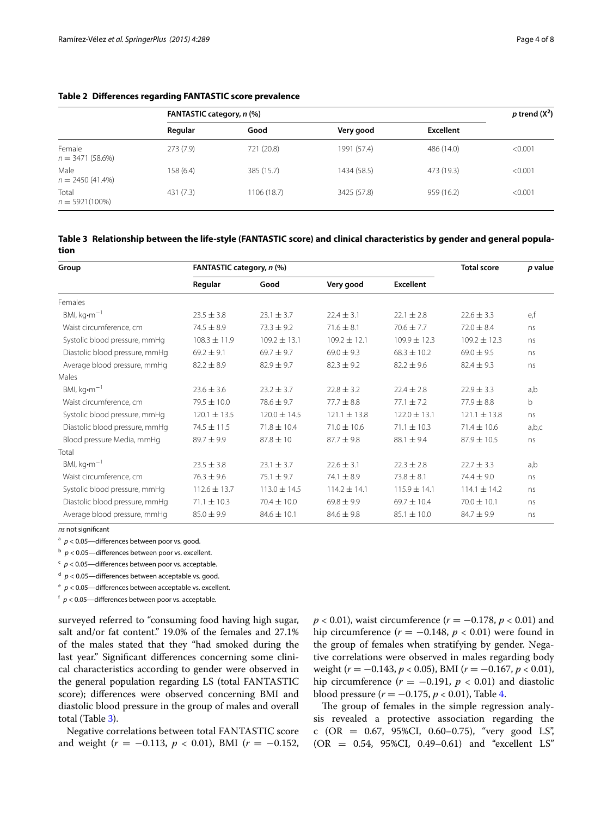#### <span id="page-3-0"></span>**Table 2 Differences regarding FANTASTIC score prevalence**

|                              | FANTASTIC category, n (%) | p trend $(X^2)$ |             |                  |         |
|------------------------------|---------------------------|-----------------|-------------|------------------|---------|
|                              | Regular                   | Good            | Very good   | <b>Excellent</b> |         |
| Female<br>$n = 3471(58.6\%)$ | 273(7.9)                  | 721 (20.8)      | 1991 (57.4) | 486 (14.0)       | < 0.001 |
| Male<br>$n = 2450(41.4\%)$   | 158 (6.4)                 | 385 (15.7)      | 1434 (58.5) | 473 (19.3)       | < 0.001 |
| Total<br>$n = 5921(100\%)$   | 431 (7.3)                 | 1106 (18.7)     | 3425 (57.8) | 959 (16.2)       | < 0.001 |

## <span id="page-3-1"></span>**Table 3 Relationship between the life-style (FANTASTIC score) and clinical characteristics by gender and general population**

| Group                          | FANTASTIC category, n (%) | <b>Total score</b> | p value          |                  |                  |              |
|--------------------------------|---------------------------|--------------------|------------------|------------------|------------------|--------------|
|                                | Regular                   | Good               | Very good        | <b>Excellent</b> |                  |              |
| Females                        |                           |                    |                  |                  |                  |              |
| $BMI, kg·m-1$                  | $23.5 \pm 3.8$            | $23.1 \pm 3.7$     | $22.4 \pm 3.1$   | $22.1 \pm 2.8$   | $22.6 \pm 3.3$   | e,f          |
| Waist circumference, cm        | $74.5 \pm 8.9$            | $73.3 + 9.2$       | $71.6 + 8.1$     | $70.6 + 7.7$     | $72.0 \pm 8.4$   | ns           |
| Systolic blood pressure, mmHg  | $108.3 \pm 11.9$          | $109.2 \pm 13.1$   | $109.2 \pm 12.1$ | $109.9 \pm 12.3$ | $109.2 \pm 12.3$ | ns           |
| Diastolic blood pressure, mmHg | $69.2 \pm 9.1$            | $69.7 + 9.7$       | $69.0 + 9.3$     | $68.3 \pm 10.2$  | $69.0 + 9.5$     | ns           |
| Average blood pressure, mmHg   | $82.2 \pm 8.9$            | $82.9 \pm 9.7$     | $82.3 \pm 9.2$   | $82.2 \pm 9.6$   | $82.4 \pm 9.3$   | ns           |
| Males                          |                           |                    |                  |                  |                  |              |
| BMI, $kg·m-1$                  | $23.6 \pm 3.6$            | $23.2 + 3.7$       | $72.8 + 3.2$     | $22.4 \pm 2.8$   | $22.9 + 3.3$     | a,b          |
| Waist circumference, cm        | $79.5 \pm 10.0$           | $78.6 \pm 9.7$     | $77.7 + 8.8$     | $77.1 + 7.2$     | $77.9 + 8.8$     | $\mathsf{b}$ |
| Systolic blood pressure, mmHq  | $120.1 \pm 13.5$          | $120.0 \pm 14.5$   | $121.1 \pm 13.8$ | $122.0 \pm 13.1$ | $121.1 \pm 13.8$ | ns           |
| Diastolic blood pressure, mmHg | $74.5 \pm 11.5$           | $71.8 \pm 10.4$    | $71.0 \pm 10.6$  | $71.1 \pm 10.3$  | $71.4 \pm 10.6$  | a,b,c        |
| Blood pressure Media, mmHg     | $89.7 \pm 9.9$            | $87.8 \pm 10$      | $87.7 + 9.8$     | $88.1 \pm 9.4$   | $87.9 + 10.5$    | ns           |
| Total                          |                           |                    |                  |                  |                  |              |
| $BMI, kg·m-1$                  | $23.5 \pm 3.8$            | $23.1 \pm 3.7$     | $22.6 \pm 3.1$   | $22.3 \pm 2.8$   | $22.7 \pm 3.3$   | a,b          |
| Waist circumference, cm        | $76.3 \pm 9.6$            | $75.1 \pm 9.7$     | $74.1 \pm 8.9$   | $73.8 \pm 8.1$   | $74.4 \pm 9.0$   | ns           |
| Systolic blood pressure, mmHg  | $112.6 \pm 13.7$          | $113.0 \pm 14.5$   | $114.2 \pm 14.1$ | $115.9 \pm 14.1$ | $114.1 \pm 14.2$ | ns           |
| Diastolic blood pressure, mmHg | $71.1 \pm 10.3$           | $70.4 \pm 10.0$    | $69.8 \pm 9.9$   | $69.7 \pm 10.4$  | $70.0 \pm 10.1$  | ns           |
| Average blood pressure, mmHg   | $85.0 \pm 9.9$            | $84.6 \pm 10.1$    | $84.6 \pm 9.8$   | $85.1 \pm 10.0$  | $84.7 \pm 9.9$   | ns           |

*ns* not significant

<sup>a</sup>  $p < 0.05$ —differences between poor vs. good.

<sup>b</sup> *p* < 0.05—differences between poor vs. excellent.

 $c$   $p$  < 0.05—differences between poor vs. acceptable.

<sup>d</sup> *p* < 0.05—differences between acceptable vs. good.

<sup>e</sup> *p* < 0.05—differences between acceptable vs. excellent.

<sup>f</sup> *p* < 0.05—differences between poor vs. acceptable.

surveyed referred to "consuming food having high sugar, salt and/or fat content." 19.0% of the females and 27.1% of the males stated that they "had smoked during the last year." Significant differences concerning some clinical characteristics according to gender were observed in the general population regarding LS (total FANTASTIC score); differences were observed concerning BMI and diastolic blood pressure in the group of males and overall total (Table [3\)](#page-3-1).

Negative correlations between total FANTASTIC score and weight ( $r = -0.113$ ,  $p < 0.01$ ), BMI ( $r = -0.152$ , *p* < 0.01), waist circumference (*r* = −0.178, *p* < 0.01) and hip circumference  $(r = -0.148, p < 0.01)$  were found in the group of females when stratifying by gender. Negative correlations were observed in males regarding body weight (*r* = −0.143, *p* < 0.05), BMI (*r* = −0.167, *p* < 0.01), hip circumference  $(r = -0.191, p < 0.01)$  and diastolic blood pressure (*r* = −0.175, *p* < 0.01), Table [4](#page-4-0).

The group of females in the simple regression analysis revealed a protective association regarding the c (OR =  $0.67$ , 95%CI, 0.60-0.75), "very good LS",  $(OR = 0.54, 95\%CI, 0.49-0.61)$  and "excellent LS"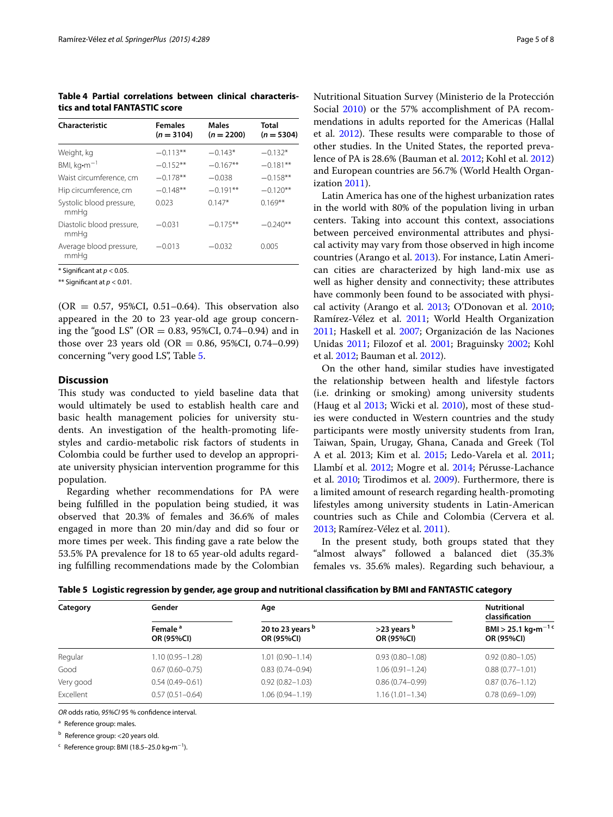<span id="page-4-0"></span>**Table 4 Partial correlations between clinical characteristics and total FANTASTIC score**

| Characteristic                    | <b>Females</b><br>$(n = 3104)$ | Males<br>$(n = 2200)$ | Total<br>$(n = 5304)$ |
|-----------------------------------|--------------------------------|-----------------------|-----------------------|
| Weight, kg                        | $-0.113**$                     | $-0.143*$             | $-0.132*$             |
| BMI, $kg \cdot m^{-1}$            | $-0.152**$                     | $-0.167**$            | $-0.181**$            |
| Waist circumference, cm           | $-0.178**$                     | $-0.038$              | $-0.158**$            |
| Hip circumference, cm             | $-0.148**$                     | $-0.191**$            | $-0.120**$            |
| Systolic blood pressure,<br>mmHq  | 0.023                          | $0.147*$              | $0.169**$             |
| Diastolic blood pressure,<br>mmHq | $-0.031$                       | $-0.175***$           | $-0.240**$            |
| Average blood pressure,<br>mmHq   | $-0.013$                       | $-0.032$              | 0.005                 |

\* Significant at *p* < 0.05.

\*\* Significant at *p* < 0.01.

 $(OR = 0.57, 95\% CI, 0.51-0.64)$ . This observation also appeared in the 20 to 23 year-old age group concerning the "good LS" (OR = 0.83, 95%CI, 0.74–0.94) and in those over 23 vears old  $(OR = 0.86, 95\% CI, 0.74-0.99)$ concerning "very good LS", Table [5.](#page-4-1)

## **Discussion**

This study was conducted to yield baseline data that would ultimately be used to establish health care and basic health management policies for university students. An investigation of the health-promoting lifestyles and cardio-metabolic risk factors of students in Colombia could be further used to develop an appropriate university physician intervention programme for this population.

Regarding whether recommendations for PA were being fulfilled in the population being studied, it was observed that 20.3% of females and 36.6% of males engaged in more than 20 min/day and did so four or more times per week. This finding gave a rate below the 53.5% PA prevalence for 18 to 65 year-old adults regarding fulfilling recommendations made by the Colombian Nutritional Situation Survey (Ministerio de la Protección Social [2010\)](#page-7-16) or the 57% accomplishment of PA recommendations in adults reported for the Americas (Hallal et al. [2012](#page-6-6)). These results were comparable to those of other studies. In the United States, the reported prevalence of PA is 28.6% (Bauman et al. [2012;](#page-6-7) Kohl et al. [2012](#page-7-17)) and European countries are 56.7% (World Health Organization [2011\)](#page-7-18).

Latin America has one of the highest urbanization rates in the world with 80% of the population living in urban centers. Taking into account this context, associations between perceived environmental attributes and physical activity may vary from those observed in high income countries (Arango et al. [2013\)](#page-6-8). For instance, Latin American cities are characterized by high land-mix use as well as higher density and connectivity; these attributes have commonly been found to be associated with physical activity (Arango et al. [2013](#page-6-8); O'Donovan et al. [2010](#page-7-19); Ramírez-Vélez et al. [2011;](#page-7-20) World Health Organization [2011](#page-7-18); Haskell et al. [2007;](#page-6-9) Organización de las Naciones Unidas [2011;](#page-7-21) Filozof et al. [2001](#page-6-10); Braguinsky [2002](#page-6-11); Kohl et al. [2012](#page-7-17); Bauman et al. [2012](#page-6-7)).

On the other hand, similar studies have investigated the relationship between health and lifestyle factors (i.e. drinking or smoking) among university students (Haug et al [2013;](#page-6-12) Wicki et al. [2010](#page-7-22)), most of these studies were conducted in Western countries and the study participants were mostly university students from Iran, Taiwan, Spain, Urugay, Ghana, Canada and Greek (Tol A et al. 2013; Kim et al. [2015](#page-7-10); Ledo-Varela et al. [2011](#page-7-9); Llambí et al. [2012](#page-7-23); Mogre et al. [2014;](#page-7-5) Pérusse-Lachance et al. [2010;](#page-7-8) Tirodimos et al. [2009\)](#page-7-7). Furthermore, there is a limited amount of research regarding health-promoting lifestyles among university students in Latin-American countries such as Chile and Colombia (Cervera et al. [2013](#page-6-13); Ramírez-Vélez et al. [2011\)](#page-7-20).

In the present study, both groups stated that they "almost always" followed a balanced diet (35.3% females vs. 35.6% males). Regarding such behaviour, a

<span id="page-4-1"></span>

|  |  |  | Table 5  Logistic regression by gender, age group and nutritional classification by BMI and FANTASTIC category |  |
|--|--|--|----------------------------------------------------------------------------------------------------------------|--|
|  |  |  |                                                                                                                |  |

| Category  | Gender                            | Age                                       | <b>Nutritional</b><br>classification |                                                       |
|-----------|-----------------------------------|-------------------------------------------|--------------------------------------|-------------------------------------------------------|
|           | Female <sup>a</sup><br>OR (95%CI) | 20 to 23 years <sup>b</sup><br>OR (95%CI) | >23 years <sup>b</sup><br>OR (95%CI) | BMI > 25.1 kg $\cdot$ m <sup>-1 c</sup><br>OR (95%CI) |
| Regular   | $1.10(0.95 - 1.28)$               | $1.01(0.90 - 1.14)$                       | $0.93(0.80 - 1.08)$                  | $0.92(0.80 - 1.05)$                                   |
| Good      | $0.67(0.60 - 0.75)$               | $0.83(0.74 - 0.94)$                       | $1.06(0.91 - 1.24)$                  | $0.88(0.77 - 1.01)$                                   |
| Very good | $0.54(0.49 - 0.61)$               | $0.92(0.82 - 1.03)$                       | $0.86(0.74 - 0.99)$                  | $0.87(0.76 - 1.12)$                                   |
| Excellent | $0.57(0.51 - 0.64)$               | 1.06 (0.94-1.19)                          | $1.16(1.01 - 1.34)$                  | $0.78(0.69 - 1.09)$                                   |

*OR* odds ratio, *95%CI* 95 % confidence interval.

<sup>a</sup> Reference group: males.

<sup>b</sup> Reference group: <20 years old.

 $^{\mathsf{c}}\,$  Reference group: BMI (18.5–25.0 kg•m $^{-1}$ ).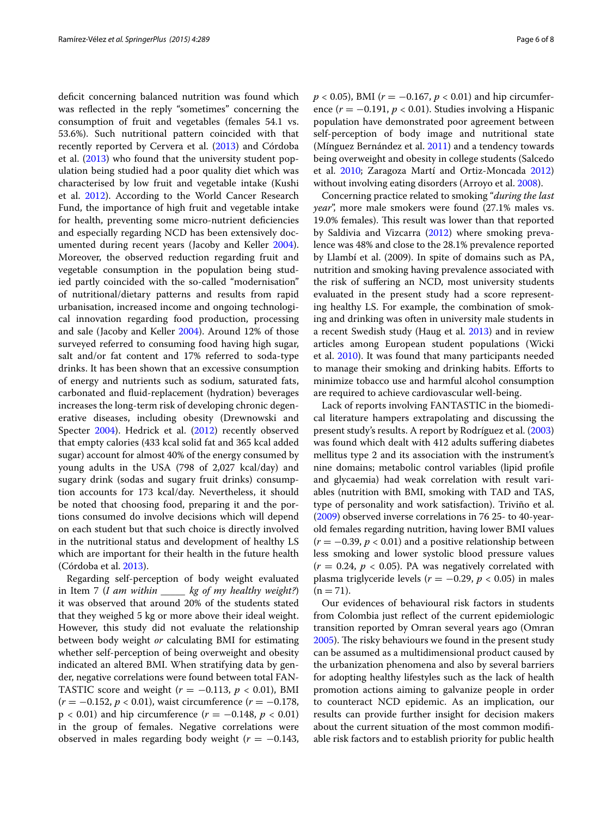deficit concerning balanced nutrition was found which was reflected in the reply "sometimes" concerning the consumption of fruit and vegetables (females 54.1 vs. 53.6%). Such nutritional pattern coincided with that recently reported by Cervera et al. [\(2013](#page-6-13)) and Córdoba et al. [\(2013](#page-6-14)) who found that the university student population being studied had a poor quality diet which was characterised by low fruit and vegetable intake (Kushi et al. [2012](#page-7-24)). According to the World Cancer Research Fund, the importance of high fruit and vegetable intake for health, preventing some micro-nutrient deficiencies and especially regarding NCD has been extensively documented during recent years (Jacoby and Keller [2004](#page-7-25)). Moreover, the observed reduction regarding fruit and vegetable consumption in the population being studied partly coincided with the so-called "modernisation" of nutritional/dietary patterns and results from rapid urbanisation, increased income and ongoing technological innovation regarding food production, processing and sale (Jacoby and Keller [2004](#page-7-25)). Around 12% of those surveyed referred to consuming food having high sugar, salt and/or fat content and 17% referred to soda-type drinks. It has been shown that an excessive consumption of energy and nutrients such as sodium, saturated fats, carbonated and fluid-replacement (hydration) beverages increases the long-term risk of developing chronic degenerative diseases, including obesity (Drewnowski and Specter [2004\)](#page-6-15). Hedrick et al. ([2012](#page-7-26)) recently observed that empty calories (433 kcal solid fat and 365 kcal added sugar) account for almost 40% of the energy consumed by young adults in the USA (798 of 2,027 kcal/day) and sugary drink (sodas and sugary fruit drinks) consumption accounts for 173 kcal/day. Nevertheless, it should be noted that choosing food, preparing it and the portions consumed do involve decisions which will depend on each student but that such choice is directly involved in the nutritional status and development of healthy LS which are important for their health in the future health (Córdoba et al. [2013](#page-6-14)).

Regarding self-perception of body weight evaluated in Item 7 (*I am within \_\_\_\_\_ kg of my healthy weight?*) it was observed that around 20% of the students stated that they weighed 5 kg or more above their ideal weight. However, this study did not evaluate the relationship between body weight *or* calculating BMI for estimating whether self-perception of being overweight and obesity indicated an altered BMI. When stratifying data by gender, negative correlations were found between total FAN-TASTIC score and weight  $(r = -0.113, p < 0.01)$ , BMI (*r* = −0.152, *p* < 0.01), waist circumference (*r* = −0.178,  $p < 0.01$ ) and hip circumference ( $r = -0.148$ ,  $p < 0.01$ ) in the group of females. Negative correlations were observed in males regarding body weight  $(r = -0.143,$  *p* < 0.05), BMI (*r* = −0.167, *p* < 0.01) and hip circumference (*r* = −0.191, *p* < 0.01). Studies involving a Hispanic population have demonstrated poor agreement between self-perception of body image and nutritional state (Mínguez Bernández et al. [2011](#page-7-27)) and a tendency towards being overweight and obesity in college students (Salcedo et al. [2010](#page-7-28); Zaragoza Martí and Ortiz-Moncada [2012](#page-7-29)) without involving eating disorders (Arroyo et al. [2008\)](#page-6-16).

Concerning practice related to smoking "*during the last year*", more male smokers were found (27.1% males vs. 19.0% females). This result was lower than that reported by Saldivia and Vizcarra [\(2012](#page-7-30)) where smoking prevalence was 48% and close to the 28.1% prevalence reported by Llambí et al. (2009). In spite of domains such as PA, nutrition and smoking having prevalence associated with the risk of suffering an NCD, most university students evaluated in the present study had a score representing healthy LS. For example, the combination of smoking and drinking was often in university male students in a recent Swedish study (Haug et al. [2013](#page-6-12)) and in review articles among European student populations (Wicki et al. [2010\)](#page-7-22). It was found that many participants needed to manage their smoking and drinking habits. Efforts to minimize tobacco use and harmful alcohol consumption are required to achieve cardiovascular well-being.

Lack of reports involving FANTASTIC in the biomedical literature hampers extrapolating and discussing the present study's results. A report by Rodríguez et al. ([2003](#page-7-31)) was found which dealt with 412 adults suffering diabetes mellitus type 2 and its association with the instrument's nine domains; metabolic control variables (lipid profile and glycaemia) had weak correlation with result variables (nutrition with BMI, smoking with TAD and TAS, type of personality and work satisfaction). Triviño et al. ([2009\)](#page-7-32) observed inverse correlations in 76 25- to 40-yearold females regarding nutrition, having lower BMI values  $(r = -0.39, p < 0.01)$  and a positive relationship between less smoking and lower systolic blood pressure values  $(r = 0.24, p < 0.05)$ . PA was negatively correlated with plasma triglyceride levels ( $r = -0.29$ ,  $p < 0.05$ ) in males  $(n = 71)$ .

Our evidences of behavioural risk factors in students from Colombia just reflect of the current epidemiologic transition reported by Omran several years ago (Omran [2005](#page-7-33)). The risky behaviours we found in the present study can be assumed as a multidimensional product caused by the urbanization phenomena and also by several barriers for adopting healthy lifestyles such as the lack of health promotion actions aiming to galvanize people in order to counteract NCD epidemic. As an implication, our results can provide further insight for decision makers about the current situation of the most common modifiable risk factors and to establish priority for public health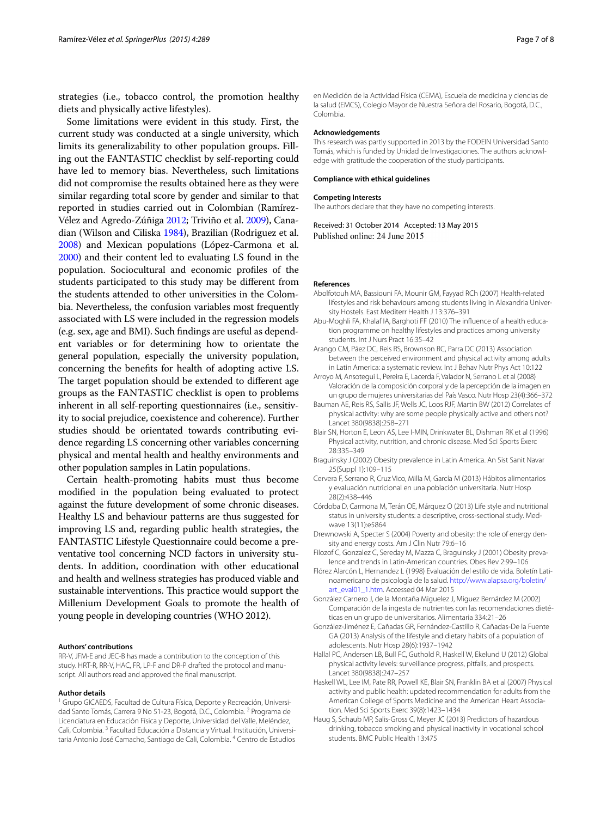strategies (i.e., tobacco control, the promotion healthy diets and physically active lifestyles).

Some limitations were evident in this study. First, the current study was conducted at a single university, which limits its generalizability to other population groups. Filling out the FANTASTIC checklist by self-reporting could have led to memory bias. Nevertheless, such limitations did not compromise the results obtained here as they were similar regarding total score by gender and similar to that reported in studies carried out in Colombian (Ramírez-Vélez and Agredo-Zúñiga [2012](#page-7-0); Triviño et al. [2009](#page-7-32)), Canadian (Wilson and Ciliska [1984](#page-7-34)), Brazilian (Rodriguez et al. [2008\)](#page-7-15) and Mexican populations (López-Carmona et al. [2000\)](#page-7-2) and their content led to evaluating LS found in the population. Sociocultural and economic profiles of the students participated to this study may be different from the students attended to other universities in the Colombia. Nevertheless, the confusion variables most frequently associated with LS were included in the regression models (e.g. sex, age and BMI). Such findings are useful as dependent variables or for determining how to orientate the general population, especially the university population, concerning the benefits for health of adopting active LS. The target population should be extended to different age groups as the FANTASTIC checklist is open to problems inherent in all self-reporting questionnaires (i.e., sensitivity to social prejudice, coexistence and coherence). Further studies should be orientated towards contributing evidence regarding LS concerning other variables concerning physical and mental health and healthy environments and other population samples in Latin populations.

Certain health-promoting habits must thus become modified in the population being evaluated to protect against the future development of some chronic diseases. Healthy LS and behaviour patterns are thus suggested for improving LS and, regarding public health strategies, the FANTASTIC Lifestyle Questionnaire could become a preventative tool concerning NCD factors in university students. In addition, coordination with other educational and health and wellness strategies has produced viable and sustainable interventions. This practice would support the Millenium Development Goals to promote the health of young people in developing countries (WHO 2012).

#### **Authors' contributions**

RR-V, JFM-E and JEC-B has made a contribution to the conception of this study. HRT-R, RR-V, HAC, FR, LP-F and DR-P drafted the protocol and manuscript. All authors read and approved the final manuscript.

#### **Author details**

<sup>1</sup> Grupo GICAEDS, Facultad de Cultura Física, Deporte y Recreación, Universidad Santo Tomás, Carrera 9 No 51-23, Bogotá, D.C., Colombia. <sup>2</sup> Programa de Licenciatura en Educación Física y Deporte, Universidad del Valle, Meléndez, Cali, Colombia. <sup>3</sup> Facultad Educación a Distancia y Virtual. Institución, Universitaria Antonio José Camacho, Santiago de Cali, Colombia. <sup>4</sup> Centro de Estudios en Medición de la Actividad Física (CEMA), Escuela de medicina y ciencias de la salud (EMCS), Colegio Mayor de Nuestra Señora del Rosario, Bogotá, D.C., Colombia.

#### **Acknowledgements**

This research was partly supported in 2013 by the FODEIN Universidad Santo Tomás, which is funded by Unidad de Investigaciones. The authors acknowledge with gratitude the cooperation of the study participants.

#### **Compliance with ethical guidelines**

#### **Competing Interests**

The authors declare that they have no competing interests.

Received: 31 October 2014 Accepted: 13 May 2015 Published online: 24 June 2015

#### **References**

- <span id="page-6-3"></span>Abolfotouh MA, Bassiouni FA, Mounir GM, Fayyad RCh (2007) Health-related lifestyles and risk behaviours among students living in Alexandria University Hostels. East Mediterr Health J 13:376–391
- <span id="page-6-4"></span>Abu-Moghli FA, Khalaf IA, Barghoti FF (2010) The influence of a health education programme on healthy lifestyles and practices among university students. Int J Nurs Pract 16:35–42
- <span id="page-6-8"></span>Arango CM, Páez DC, Reis RS, Brownson RC, Parra DC (2013) Association between the perceived environment and physical activity among adults in Latin America: a systematic review. Int J Behav Nutr Phys Act 10:122
- <span id="page-6-16"></span>Arroyo M, Ansotegui L, Pereira E, Lacerda F, Valador N, Serrano L et al (2008) Valoración de la composición corporal y de la percepción de la imagen en un grupo de mujeres universitarias del País Vasco. Nutr Hosp 23(4):366–372
- <span id="page-6-7"></span>Bauman AE, Reis RS, Sallis JF, Wells JC, Loos RJF, Martin BW (2012) Correlates of physical activity: why are some people physically active and others not? Lancet 380(9838):258–271
- <span id="page-6-1"></span>Blair SN, Horton E, Leon AS, Lee I-MIN, Drinkwater BL, Dishman RK et al (1996) Physical activity, nutrition, and chronic disease. Med Sci Sports Exerc 28:335–349
- <span id="page-6-11"></span>Braguinsky J (2002) Obesity prevalence in Latin America. An Sist Sanit Navar 25(Suppl 1):109–115
- <span id="page-6-13"></span>Cervera F, Serrano R, Cruz Vico, Milla M, García M (2013) Hábitos alimentarios y evaluación nutricional en una población universitaria. Nutr Hosp 28(2):438–446
- <span id="page-6-14"></span>Córdoba D, Carmona M, Terán OE, Márquez O (2013) Life style and nutritional status in university students: a descriptive, cross-sectional study. Medwave 13(11):e5864
- <span id="page-6-15"></span>Drewnowski A, Specter S (2004) Poverty and obesity: the role of energy den‑ sity and energy costs. Am J Clin Nutr 79:6–16
- <span id="page-6-10"></span>Filozof C, Gonzalez C, Sereday M, Mazza C, Braguinsky J (2001) Obesity prevalence and trends in Latin-American countries. Obes Rev 2:99–106
- <span id="page-6-0"></span>Flórez Alarcón L, Hernandez L (1998) Evaluación del estilo de vida. Boletín Latinoamericano de psicología de la salud. [http://www.alapsa.org/boletin/](http://www.alapsa.org/boletin/art_eval01_1.htm) [art\\_eval01\\_1.htm](http://www.alapsa.org/boletin/art_eval01_1.htm). Accessed 04 Mar 2015
- <span id="page-6-5"></span>González Carnero J, de la Montaña Miguelez J, Miguez Bernárdez M (2002) Comparación de la ingesta de nutrientes con las recomendaciones dietéticas en un grupo de universitarios. Alimentaria 334:21–26
- <span id="page-6-2"></span>González-Jiménez E, Cañadas GR, Fernández-Castillo R, Cañadas-De la Fuente GA (2013) Analysis of the lifestyle and dietary habits of a population of adolescents. Nutr Hosp 28(6):1937–1942
- <span id="page-6-6"></span>Hallal PC, Andersen LB, Bull FC, Guthold R, Haskell W, Ekelund U (2012) Global physical activity levels: surveillance progress, pitfalls, and prospects. Lancet 380(9838):247–257
- <span id="page-6-9"></span>Haskell WL, Lee IM, Pate RR, Powell KE, Blair SN, Franklin BA et al (2007) Physical activity and public health: updated recommendation for adults from the American College of Sports Medicine and the American Heart Association. Med Sci Sports Exerc 39(8):1423–1434
- <span id="page-6-12"></span>Haug S, Schaub MP, Salis-Gross C, Meyer JC (2013) Predictors of hazardous drinking, tobacco smoking and physical inactivity in vocational school students. BMC Public Health 13:475